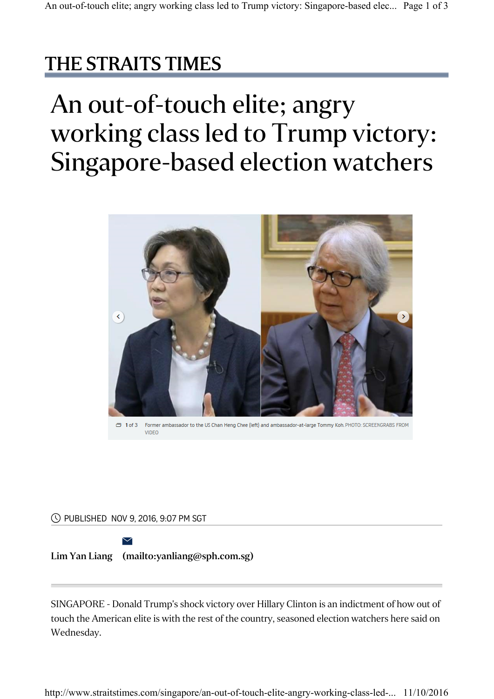## THE STRAITS TIMES

## An out-of-touch elite; angry working class led to Trump victory: Singapore-based election watchers



PUBLISHED NOV 9, 2016, 9:07 PM SGT

Lim Yan Liang (mailto:yanliang@sph.com.sg)  $\searrow$ 

SINGAPORE - Donald Trump's shock victory over Hillary Clinton is an indictment of how out of touch the American elite is with the rest of the country, seasoned election watchers here said on Wednesday.

http://www.straitstimes.com/singapore/an-out-of-touch-elite-angry-working-class-led-... 11/10/2016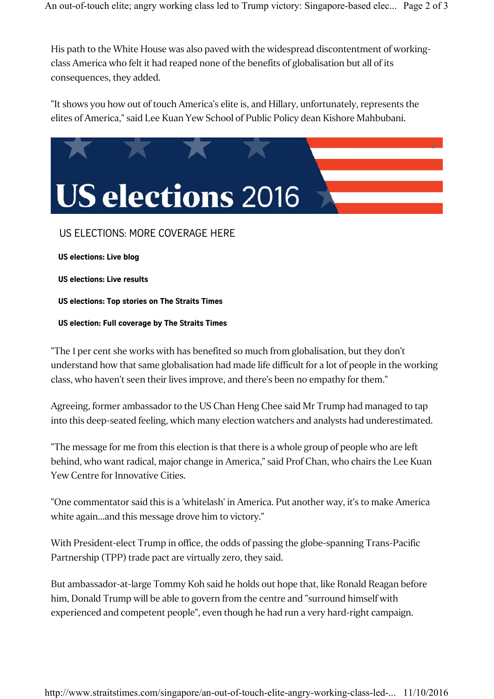His path to the White House was also paved with the widespread discontentment of workingclass America who felt it had reaped none of the benefits of globalisation but all of its consequences, they added.

"It shows you how out of touch America's elite is, and Hillary, unfortunately, represents the elites of America," said Lee Kuan Yew School of Public Policy dean Kishore Mahbubani.



## US ELECTIONS: MORE COVERAGE HERE

US elections: Live blog

US elections: Live results

US elections: Top stories on The Straits Times

US election: Full coverage by The Straits Times

"The 1 per cent she works with has benefited so much from globalisation, but they don't understand how that same globalisation had made life difficult for a lot of people in the working class, who haven't seen their lives improve, and there's been no empathy for them."

Agreeing, former ambassador to the US Chan Heng Chee said Mr Trump had managed to tap into this deep-seated feeling, which many election watchers and analysts had underestimated.

"The message for me from this election is that there is a whole group of people who are left behind, who want radical, major change in America," said Prof Chan, who chairs the Lee Kuan Yew Centre for Innovative Cities.

"One commentator said this is a 'whitelash' in America. Put another way, it's to make America white again...and this message drove him to victory."

With President-elect Trump in office, the odds of passing the globe-spanning Trans-Pacific Partnership (TPP) trade pact are virtually zero, they said.

But ambassador-at-large Tommy Koh said he holds out hope that, like Ronald Reagan before him, Donald Trump will be able to govern from the centre and "surround himself with experienced and competent people", even though he had run a very hard-right campaign.